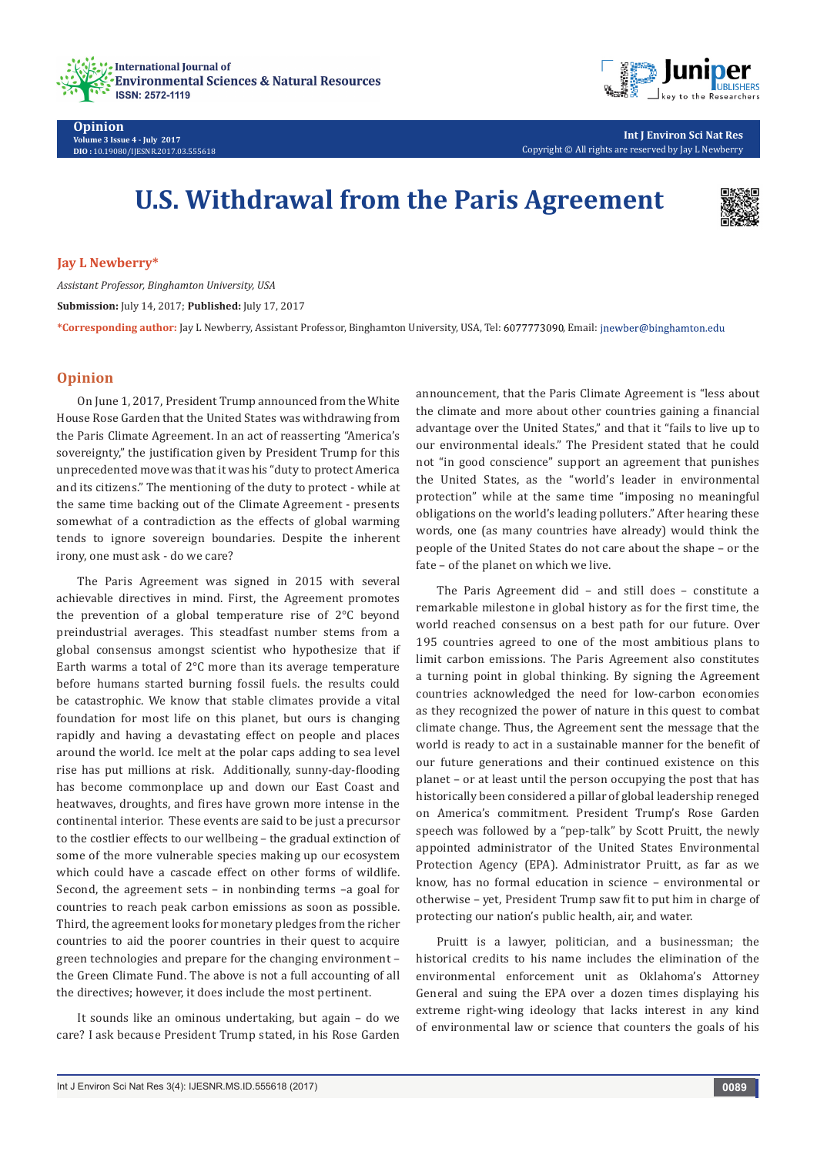



**Opinion Volume 3 Issue 4 - July 2017 DIO :** [10.19080/IJESNR.2017.03.555618](http://dx.doi.org/10.19080/IJESNR.2017.03.555618)

**Int J Environ Sci Nat Res** Copyright © All rights are reserved by Jay L Newberry

## **U.S. Withdrawal from the Paris Agreement**



## **Jay L Newberry\***

*Assistant Professor, Binghamton University, USA*  **Submission:** July 14, 2017; **Published:** July 17, 2017 \*Corresponding author: Jay L Newberry, Assistant Professor, Binghamton University, USA, Tel: 6077773090. Email: inewber@binghamton.edu

## **Opinion**

On June 1, 2017, President Trump announced from the White House Rose Garden that the United States was withdrawing from the Paris Climate Agreement. In an act of reasserting "America's sovereignty," the justification given by President Trump for this unprecedented move was that it was his "duty to protect America and its citizens." The mentioning of the duty to protect - while at the same time backing out of the Climate Agreement - presents somewhat of a contradiction as the effects of global warming tends to ignore sovereign boundaries. Despite the inherent irony, one must ask - do we care?

The Paris Agreement was signed in 2015 with several achievable directives in mind. First, the Agreement promotes the prevention of a global temperature rise of 2°C beyond preindustrial averages. This steadfast number stems from a global consensus amongst scientist who hypothesize that if Earth warms a total of 2°C more than its average temperature before humans started burning fossil fuels. the results could be catastrophic. We know that stable climates provide a vital foundation for most life on this planet, but ours is changing rapidly and having a devastating effect on people and places around the world. Ice melt at the polar caps adding to sea level rise has put millions at risk. Additionally, sunny-day-flooding has become commonplace up and down our East Coast and heatwaves, droughts, and fires have grown more intense in the continental interior. These events are said to be just a precursor to the costlier effects to our wellbeing – the gradual extinction of some of the more vulnerable species making up our ecosystem which could have a cascade effect on other forms of wildlife. Second, the agreement sets – in nonbinding terms –a goal for countries to reach peak carbon emissions as soon as possible. Third, the agreement looks for monetary pledges from the richer countries to aid the poorer countries in their quest to acquire green technologies and prepare for the changing environment – the Green Climate Fund. The above is not a full accounting of all the directives; however, it does include the most pertinent.

It sounds like an ominous undertaking, but again – do we care? I ask because President Trump stated, in his Rose Garden

announcement, that the Paris Climate Agreement is "less about the climate and more about other countries gaining a financial advantage over the United States," and that it "fails to live up to our environmental ideals." The President stated that he could not "in good conscience" support an agreement that punishes the United States, as the "world's leader in environmental protection" while at the same time "imposing no meaningful obligations on the world's leading polluters." After hearing these words, one (as many countries have already) would think the people of the United States do not care about the shape – or the fate – of the planet on which we live.

The Paris Agreement did – and still does – constitute a remarkable milestone in global history as for the first time, the world reached consensus on a best path for our future. Over 195 countries agreed to one of the most ambitious plans to limit carbon emissions. The Paris Agreement also constitutes a turning point in global thinking. By signing the Agreement countries acknowledged the need for low-carbon economies as they recognized the power of nature in this quest to combat climate change. Thus, the Agreement sent the message that the world is ready to act in a sustainable manner for the benefit of our future generations and their continued existence on this planet – or at least until the person occupying the post that has historically been considered a pillar of global leadership reneged on America's commitment. President Trump's Rose Garden speech was followed by a "pep-talk" by Scott Pruitt, the newly appointed administrator of the United States Environmental Protection Agency (EPA). Administrator Pruitt, as far as we know, has no formal education in science – environmental or otherwise – yet, President Trump saw fit to put him in charge of protecting our nation's public health, air, and water.

Pruitt is a lawyer, politician, and a businessman; the historical credits to his name includes the elimination of the environmental enforcement unit as Oklahoma's Attorney General and suing the EPA over a dozen times displaying his extreme right-wing ideology that lacks interest in any kind of environmental law or science that counters the goals of his